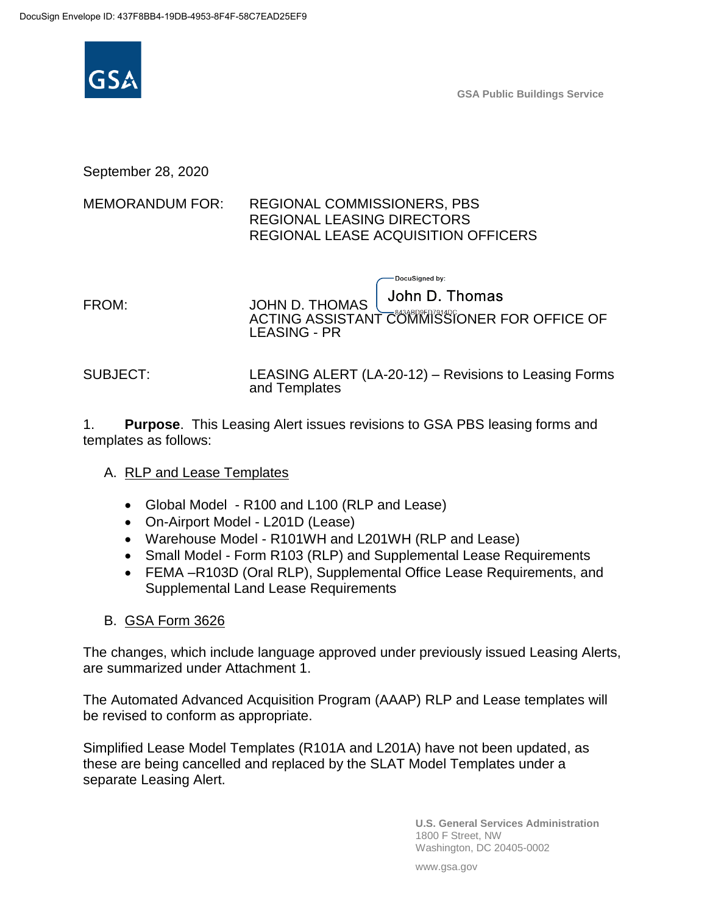

**GSA Public Buildings Service**

September 28, 2020

#### MEMORANDUM FOR: REGIONAL COMMISSIONERS, PBS REGIONAL LEASING DIRECTORS REGIONAL LEASE ACQUISITION OFFICERS

DocuSigned by: John D. Thomas FROM: JOHN D. THOMAS **ACTING ASSISTANT COMMISSIONER FOR OFFICE OF** LEASING - PR SUBJECT: LEASING ALERT (LA-20-12) – Revisions to Leasing Forms

1. **Purpose**. This Leasing Alert issues revisions to GSA PBS leasing forms and templates as follows:

### A. RLP and Lease Templates

• Global Model - R100 and L100 (RLP and Lease)

and Templates

- On-Airport Model L201D (Lease)
- Warehouse Model R101WH and L201WH (RLP and Lease)
- Small Model Form R103 (RLP) and Supplemental Lease Requirements
- FEMA –R103D (Oral RLP), Supplemental Office Lease Requirements, and Supplemental Land Lease Requirements

#### B. GSA Form 3626

The changes, which include language approved under previously issued Leasing Alerts, are summarized under Attachment 1.

The Automated Advanced Acquisition Program (AAAP) RLP and Lease templates will be revised to conform as appropriate.

Simplified Lease Model Templates (R101A and L201A) have not been updated, as these are being cancelled and replaced by the SLAT Model Templates under a separate Leasing Alert.

> **U.S. General Services Administration** 1800 F Street, NW Washington, DC 20405-0002

www.gsa.gov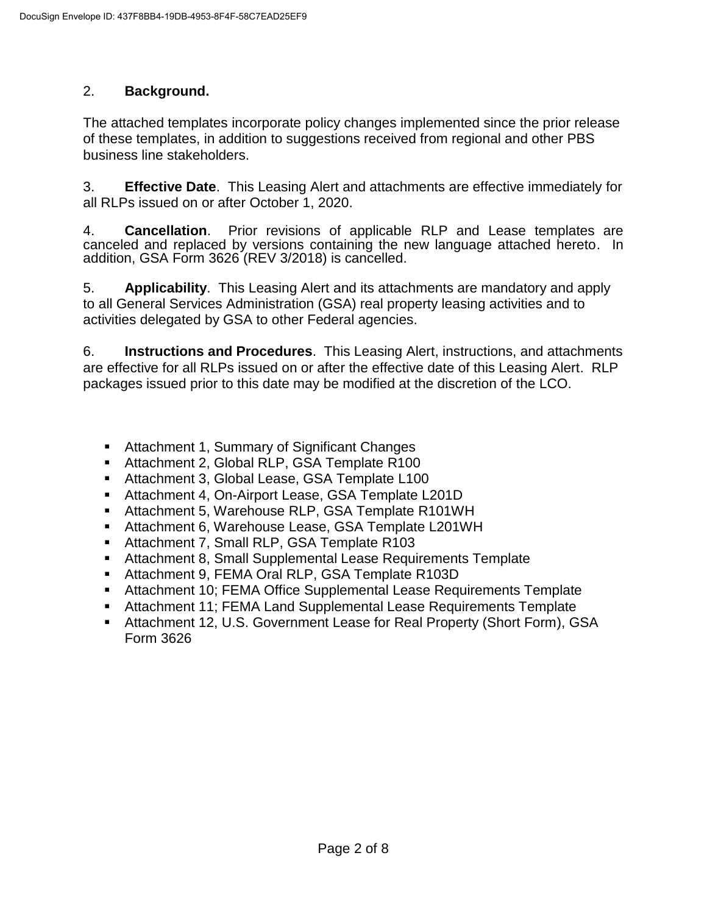### 2. **Background.**

The attached templates incorporate policy changes implemented since the prior release of these templates, in addition to suggestions received from regional and other PBS business line stakeholders.

3. **Effective Date**. This Leasing Alert and attachments are effective immediately for all RLPs issued on or after October 1, 2020.

4. **Cancellation**. Prior revisions of applicable RLP and Lease templates are canceled and replaced by versions containing the new language attached hereto. In addition, GSA Form 3626 (REV 3/2018) is cancelled.

5. **Applicability**. This Leasing Alert and its attachments are mandatory and apply to all General Services Administration (GSA) real property leasing activities and to activities delegated by GSA to other Federal agencies.

6. **Instructions and Procedures**. This Leasing Alert, instructions, and attachments are effective for all RLPs issued on or after the effective date of this Leasing Alert. RLP packages issued prior to this date may be modified at the discretion of the LCO.

- Attachment 1, Summary of Significant Changes
- **Attachment 2, Global RLP, GSA Template R100**
- Attachment 3, Global Lease, GSA Template L100
- **Attachment 4, On-Airport Lease, GSA Template L201D**
- Attachment 5, Warehouse RLP, GSA Template R101WH
- Attachment 6, Warehouse Lease, GSA Template L201WH
- Attachment 7, Small RLP, GSA Template R103
- Attachment 8, Small Supplemental Lease Requirements Template
- Attachment 9, FEMA Oral RLP, GSA Template R103D
- Attachment 10; FEMA Office Supplemental Lease Requirements Template
- Attachment 11; FEMA Land Supplemental Lease Requirements Template
- Attachment 12, U.S. Government Lease for Real Property (Short Form), GSA Form 3626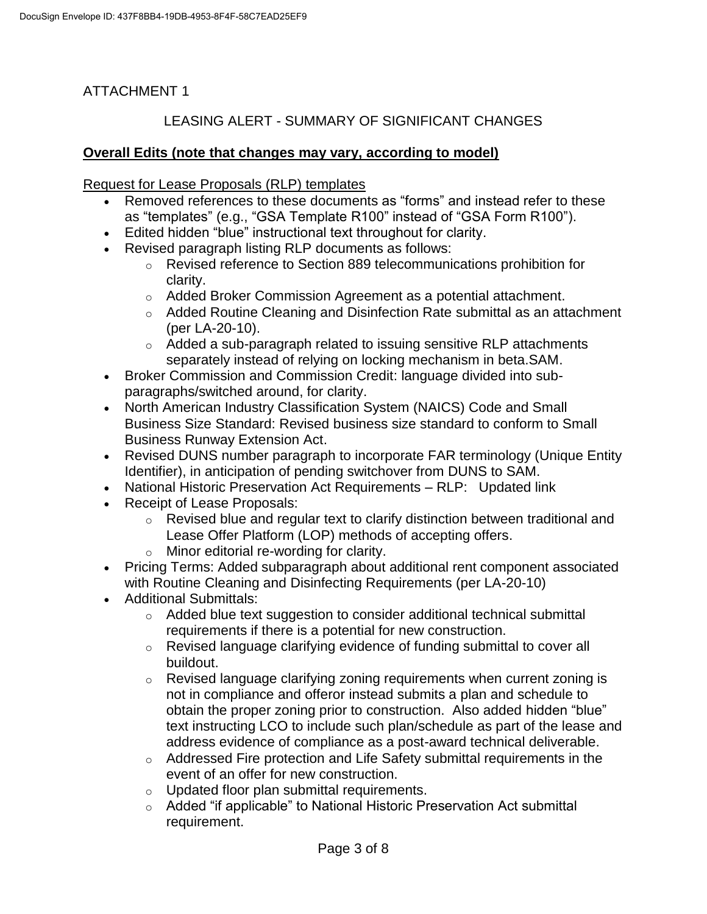## ATTACHMENT 1

## LEASING ALERT - SUMMARY OF SIGNIFICANT CHANGES

### **Overall Edits (note that changes may vary, according to model)**

Request for Lease Proposals (RLP) templates

- Removed references to these documents as "forms" and instead refer to these as "templates" (e.g., "GSA Template R100" instead of "GSA Form R100").
- Edited hidden "blue" instructional text throughout for clarity.
- Revised paragraph listing RLP documents as follows:
	- o Revised reference to Section 889 telecommunications prohibition for clarity.
	- o Added Broker Commission Agreement as a potential attachment.
	- o Added Routine Cleaning and Disinfection Rate submittal as an attachment (per LA-20-10).
	- $\circ$  Added a sub-paragraph related to issuing sensitive RLP attachments separately instead of relying on locking mechanism in beta.SAM.
- Broker Commission and Commission Credit: language divided into subparagraphs/switched around, for clarity.
- North American Industry Classification System (NAICS) Code and Small Business Size Standard: Revised business size standard to conform to Small Business Runway Extension Act.
- Revised DUNS number paragraph to incorporate FAR terminology (Unique Entity Identifier), in anticipation of pending switchover from DUNS to SAM.
- National Historic Preservation Act Requirements RLP: Updated link
- Receipt of Lease Proposals:
	- $\circ$  Revised blue and regular text to clarify distinction between traditional and Lease Offer Platform (LOP) methods of accepting offers.
	- o Minor editorial re-wording for clarity.
- Pricing Terms: Added subparagraph about additional rent component associated with Routine Cleaning and Disinfecting Requirements (per LA-20-10)
- Additional Submittals:
	- $\circ$  Added blue text suggestion to consider additional technical submittal requirements if there is a potential for new construction.
	- o Revised language clarifying evidence of funding submittal to cover all buildout.
	- o Revised language clarifying zoning requirements when current zoning is not in compliance and offeror instead submits a plan and schedule to obtain the proper zoning prior to construction. Also added hidden "blue" text instructing LCO to include such plan/schedule as part of the lease and address evidence of compliance as a post-award technical deliverable.
	- o Addressed Fire protection and Life Safety submittal requirements in the event of an offer for new construction.
	- o Updated floor plan submittal requirements.
	- o Added "if applicable" to National Historic Preservation Act submittal requirement.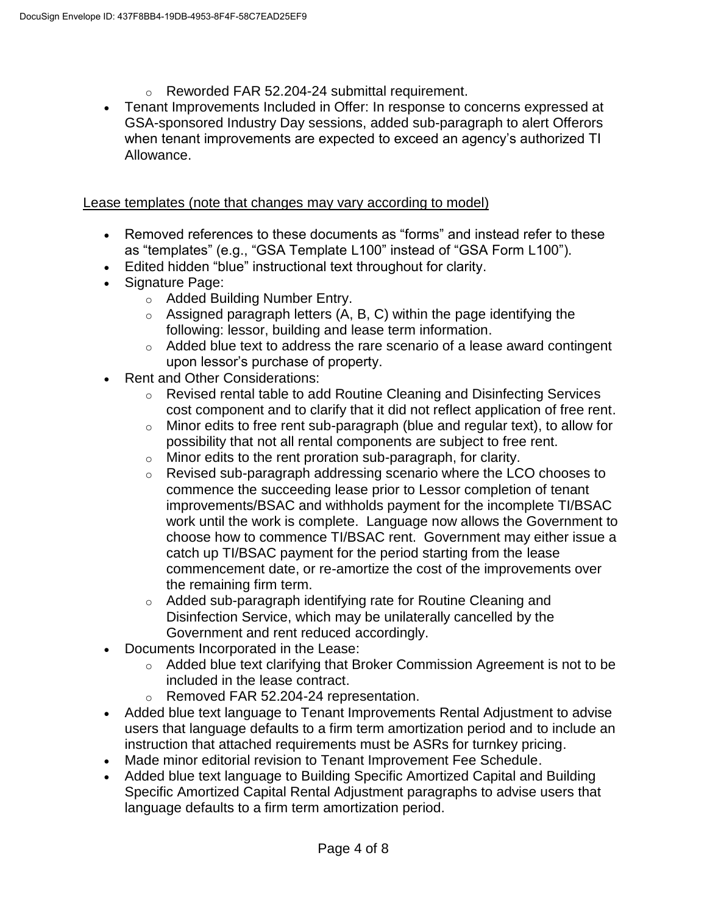- o Reworded FAR 52.204-24 submittal requirement.
- Tenant Improvements Included in Offer: In response to concerns expressed at GSA-sponsored Industry Day sessions, added sub-paragraph to alert Offerors when tenant improvements are expected to exceed an agency's authorized TI Allowance.

#### Lease templates (note that changes may vary according to model)

- Removed references to these documents as "forms" and instead refer to these as "templates" (e.g., "GSA Template L100" instead of "GSA Form L100").
- Edited hidden "blue" instructional text throughout for clarity.
- Signature Page:
	- o Added Building Number Entry.
	- $\circ$  Assigned paragraph letters (A, B, C) within the page identifying the following: lessor, building and lease term information.
	- $\circ$  Added blue text to address the rare scenario of a lease award contingent upon lessor's purchase of property.
- Rent and Other Considerations:
	- o Revised rental table to add Routine Cleaning and Disinfecting Services cost component and to clarify that it did not reflect application of free rent.
	- o Minor edits to free rent sub-paragraph (blue and regular text), to allow for possibility that not all rental components are subject to free rent.
	- o Minor edits to the rent proration sub-paragraph, for clarity.
	- o Revised sub-paragraph addressing scenario where the LCO chooses to commence the succeeding lease prior to Lessor completion of tenant improvements/BSAC and withholds payment for the incomplete TI/BSAC work until the work is complete. Language now allows the Government to choose how to commence TI/BSAC rent. Government may either issue a catch up TI/BSAC payment for the period starting from the lease commencement date, or re-amortize the cost of the improvements over the remaining firm term.
	- o Added sub-paragraph identifying rate for Routine Cleaning and Disinfection Service, which may be unilaterally cancelled by the Government and rent reduced accordingly.
- Documents Incorporated in the Lease:
	- $\circ$  Added blue text clarifying that Broker Commission Agreement is not to be included in the lease contract.
	- o Removed FAR 52.204-24 representation.
- Added blue text language to Tenant Improvements Rental Adjustment to advise users that language defaults to a firm term amortization period and to include an instruction that attached requirements must be ASRs for turnkey pricing.
- Made minor editorial revision to Tenant Improvement Fee Schedule.
- Added blue text language to Building Specific Amortized Capital and Building Specific Amortized Capital Rental Adjustment paragraphs to advise users that language defaults to a firm term amortization period.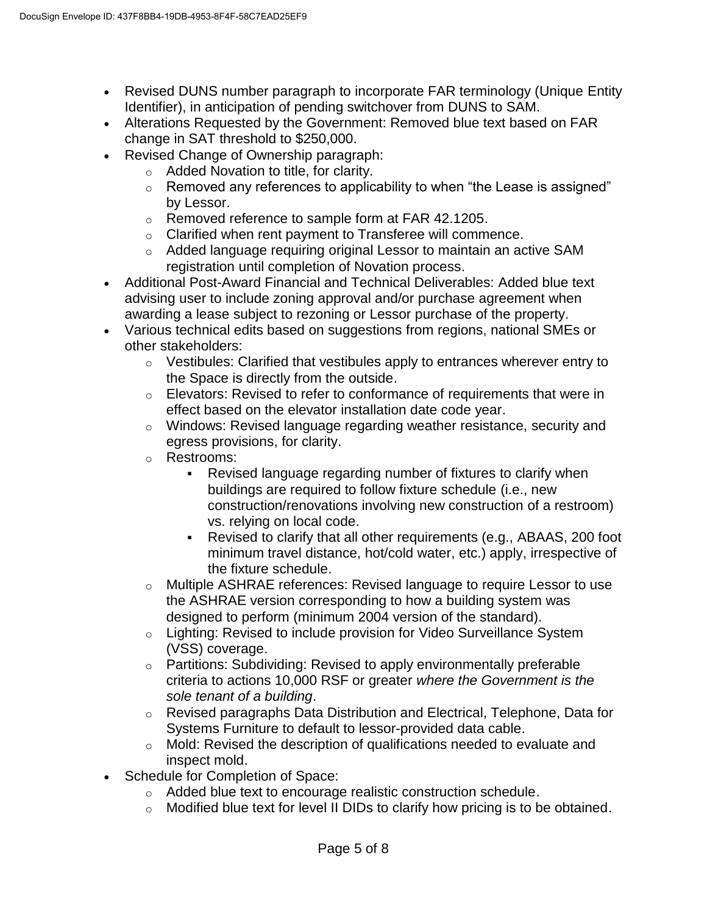- Revised DUNS number paragraph to incorporate FAR terminology (Unique Entity Identifier), in anticipation of pending switchover from DUNS to SAM.
- Alterations Requested by the Government: Removed blue text based on FAR change in SAT threshold to \$250,000.
- Revised Change of Ownership paragraph:
	- o Added Novation to title, for clarity.
	- $\circ$  Removed any references to applicability to when "the Lease is assigned" by Lessor.
	- o Removed reference to sample form at FAR 42.1205.
	- o Clarified when rent payment to Transferee will commence.
	- o Added language requiring original Lessor to maintain an active SAM registration until completion of Novation process.
- Additional Post-Award Financial and Technical Deliverables: Added blue text advising user to include zoning approval and/or purchase agreement when awarding a lease subject to rezoning or Lessor purchase of the property.
- Various technical edits based on suggestions from regions, national SMEs or other stakeholders:
	- o Vestibules: Clarified that vestibules apply to entrances wherever entry to the Space is directly from the outside.
	- o Elevators: Revised to refer to conformance of requirements that were in effect based on the elevator installation date code year.
	- o Windows: Revised language regarding weather resistance, security and egress provisions, for clarity.
	- o Restrooms:
		- Revised language regarding number of fixtures to clarify when buildings are required to follow fixture schedule (i.e., new construction/renovations involving new construction of a restroom) vs. relying on local code.
		- Revised to clarify that all other requirements (e.g., ABAAS, 200 foot minimum travel distance, hot/cold water, etc.) apply, irrespective of the fixture schedule.
	- o Multiple ASHRAE references: Revised language to require Lessor to use the ASHRAE version corresponding to how a building system was designed to perform (minimum 2004 version of the standard).
	- o Lighting: Revised to include provision for Video Surveillance System (VSS) coverage.
	- o Partitions: Subdividing: Revised to apply environmentally preferable criteria to actions 10,000 RSF or greater *where the Government is the sole tenant of a building*.
	- o Revised paragraphs Data Distribution and Electrical, Telephone, Data for Systems Furniture to default to lessor-provided data cable.
	- o Mold: Revised the description of qualifications needed to evaluate and inspect mold.
- Schedule for Completion of Space:
	- o Added blue text to encourage realistic construction schedule.
	- $\circ$  Modified blue text for level II DIDs to clarify how pricing is to be obtained.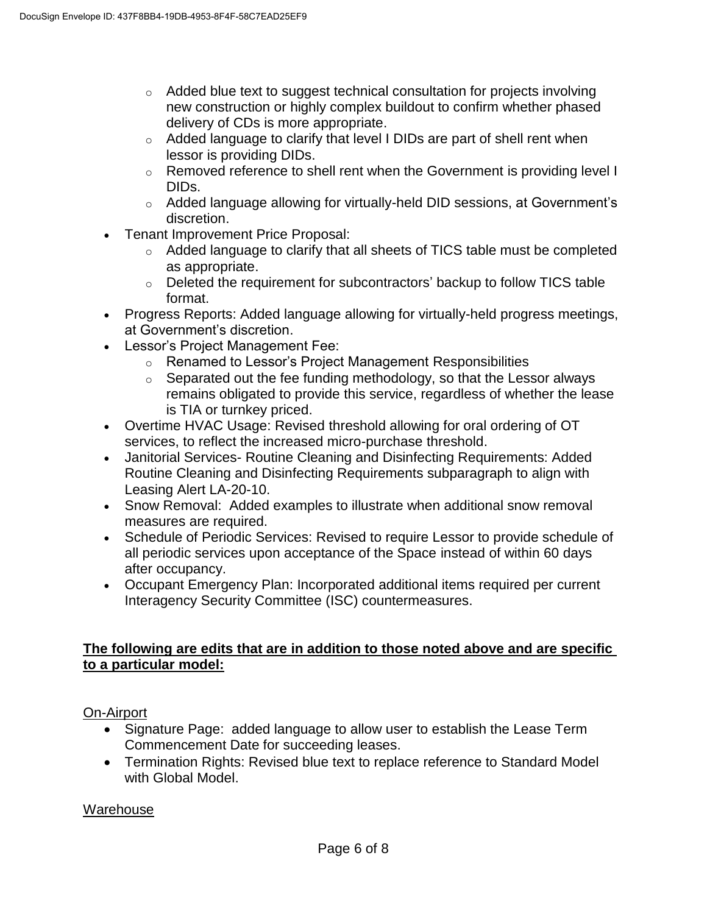- $\circ$  Added blue text to suggest technical consultation for projects involving new construction or highly complex buildout to confirm whether phased delivery of CDs is more appropriate.
- $\circ$  Added language to clarify that level I DIDs are part of shell rent when lessor is providing DIDs.
- o Removed reference to shell rent when the Government is providing level I DIDs.
- o Added language allowing for virtually-held DID sessions, at Government's discretion.
- Tenant Improvement Price Proposal:
	- o Added language to clarify that all sheets of TICS table must be completed as appropriate.
	- o Deleted the requirement for subcontractors' backup to follow TICS table format.
- Progress Reports: Added language allowing for virtually-held progress meetings, at Government's discretion.
- Lessor's Project Management Fee:
	- o Renamed to Lessor's Project Management Responsibilities
	- o Separated out the fee funding methodology, so that the Lessor always remains obligated to provide this service, regardless of whether the lease is TIA or turnkey priced.
- Overtime HVAC Usage: Revised threshold allowing for oral ordering of OT services, to reflect the increased micro-purchase threshold.
- Janitorial Services- Routine Cleaning and Disinfecting Requirements: Added Routine Cleaning and Disinfecting Requirements subparagraph to align with Leasing Alert LA-20-10.
- Snow Removal: Added examples to illustrate when additional snow removal measures are required.
- Schedule of Periodic Services: Revised to require Lessor to provide schedule of all periodic services upon acceptance of the Space instead of within 60 days after occupancy.
- Occupant Emergency Plan: Incorporated additional items required per current Interagency Security Committee (ISC) countermeasures.

### **The following are edits that are in addition to those noted above and are specific to a particular model:**

On-Airport

- Signature Page: added language to allow user to establish the Lease Term Commencement Date for succeeding leases.
- Termination Rights: Revised blue text to replace reference to Standard Model with Global Model.

## Warehouse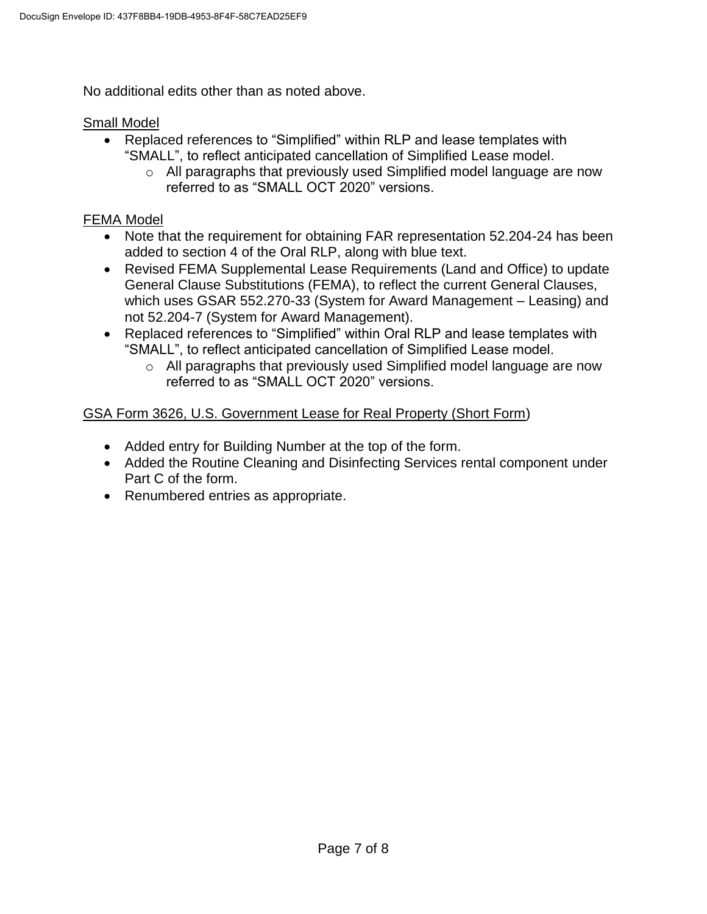No additional edits other than as noted above.

#### Small Model

- Replaced references to "Simplified" within RLP and lease templates with "SMALL", to reflect anticipated cancellation of Simplified Lease model.
	- o All paragraphs that previously used Simplified model language are now referred to as "SMALL OCT 2020" versions.

#### FEMA Model

- Note that the requirement for obtaining FAR representation 52.204-24 has been added to section 4 of the Oral RLP, along with blue text.
- Revised FEMA Supplemental Lease Requirements (Land and Office) to update General Clause Substitutions (FEMA), to reflect the current General Clauses, which uses GSAR 552.270-33 (System for Award Management – Leasing) and not 52.204-7 (System for Award Management).
- Replaced references to "Simplified" within Oral RLP and lease templates with "SMALL", to reflect anticipated cancellation of Simplified Lease model.
	- o All paragraphs that previously used Simplified model language are now referred to as "SMALL OCT 2020" versions.

### GSA Form 3626, U.S. Government Lease for Real Property (Short Form)

- Added entry for Building Number at the top of the form.
- Added the Routine Cleaning and Disinfecting Services rental component under Part C of the form.
- Renumbered entries as appropriate.